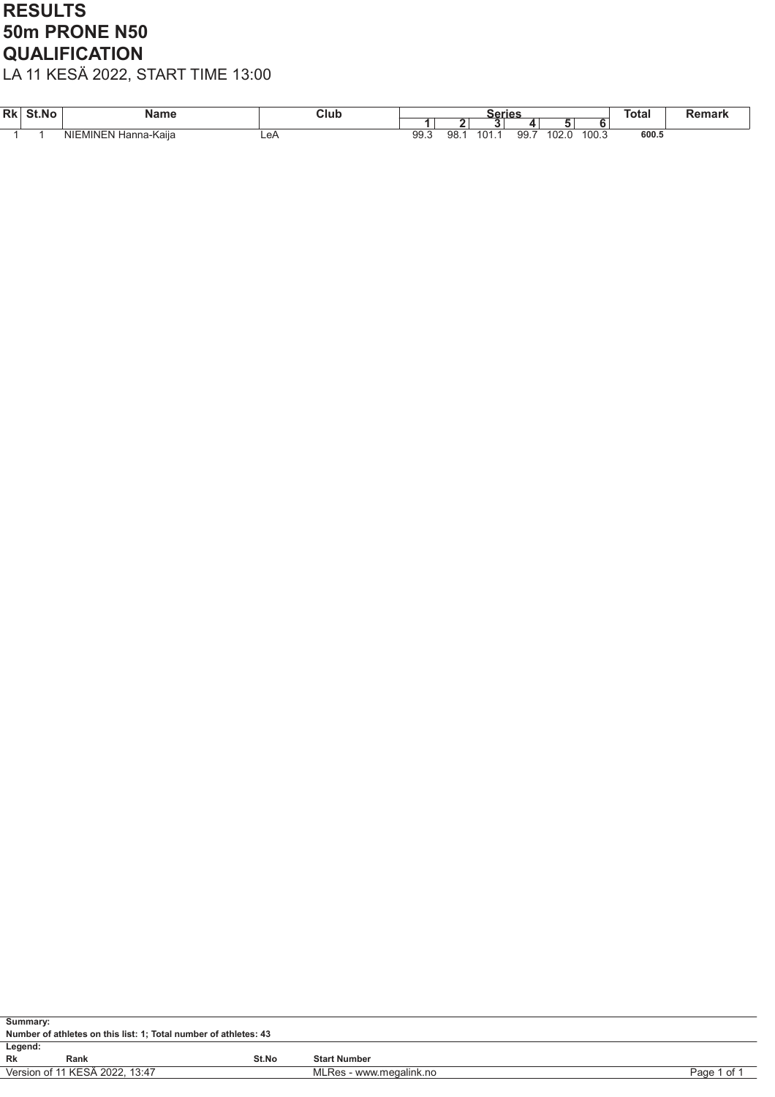### RESULTS 50m PRONE N50 **QUALIFICATION**

| <b>Rk</b> | St.No | Name                                      | Clut |            |           | series |           |                      |       | Total |  |
|-----------|-------|-------------------------------------------|------|------------|-----------|--------|-----------|----------------------|-------|-------|--|
|           |       |                                           |      |            |           |        |           |                      |       |       |  |
|           |       | MINEN <sup>1</sup><br>NIE'<br>Hanna-Kaiia | ∟e⊬  | aa<br>JJ.J | ۵R<br>ອບ. | 101.   | aa<br>ວວ. | $\sim$<br>.<br>`∪∠.∪ | 100.5 | 600.5 |  |

| Summary: |                                                                          |       |                     |  |  |  |  |  |  |  |  |
|----------|--------------------------------------------------------------------------|-------|---------------------|--|--|--|--|--|--|--|--|
|          | Number of athletes on this list: 1; Total number of athletes: 43         |       |                     |  |  |  |  |  |  |  |  |
| Legend:  |                                                                          |       |                     |  |  |  |  |  |  |  |  |
| Rk       | Rank                                                                     | St.No | <b>Start Number</b> |  |  |  |  |  |  |  |  |
|          | Version of 11 KESA 2022, 13:47<br>MLRes - www.megalink.no<br>Page 1 of 1 |       |                     |  |  |  |  |  |  |  |  |
|          |                                                                          |       |                     |  |  |  |  |  |  |  |  |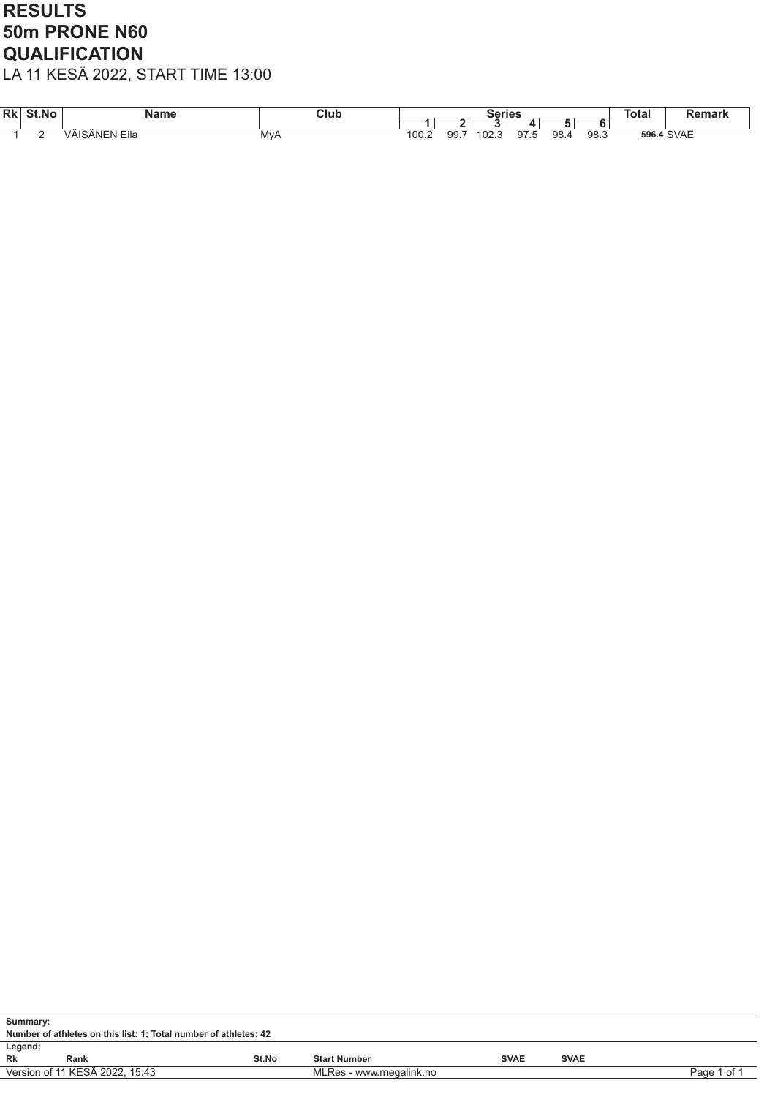### RESULTS 50m PRONE N60 **QUALIFICATION**

| Rk | St.No | Name                              | Club |                       |     | Series         |                 |      |      | <b>Total</b> | <b>Jamark</b><br>emarn |
|----|-------|-----------------------------------|------|-----------------------|-----|----------------|-----------------|------|------|--------------|------------------------|
|    |       |                                   |      |                       |     |                |                 |      |      |              |                        |
|    |       | $\cdot$ $ \cdot$<br>VÄISÄNEN Eila | MvA  | $\sim$<br><b>UU.Z</b> | 99. | $\sim$<br>U∠.J | $\sim$<br>ອ ເ.ວ | 98.4 | 98.3 |              | 596.4 SVAE             |

| Summary: |                                                                  |       |                         |             |             |             |  |  |  |  |  |
|----------|------------------------------------------------------------------|-------|-------------------------|-------------|-------------|-------------|--|--|--|--|--|
|          | Number of athletes on this list: 1; Total number of athletes: 42 |       |                         |             |             |             |  |  |  |  |  |
| Legend:  |                                                                  |       |                         |             |             |             |  |  |  |  |  |
| Rk       | Rank                                                             | St.No | <b>Start Number</b>     | <b>SVAE</b> | <b>SVAE</b> |             |  |  |  |  |  |
|          | Version of 11 KESÄ 2022, 15:43                                   |       | MLRes - www.megalink.no |             |             | Page 1 of 1 |  |  |  |  |  |
|          |                                                                  |       |                         |             |             |             |  |  |  |  |  |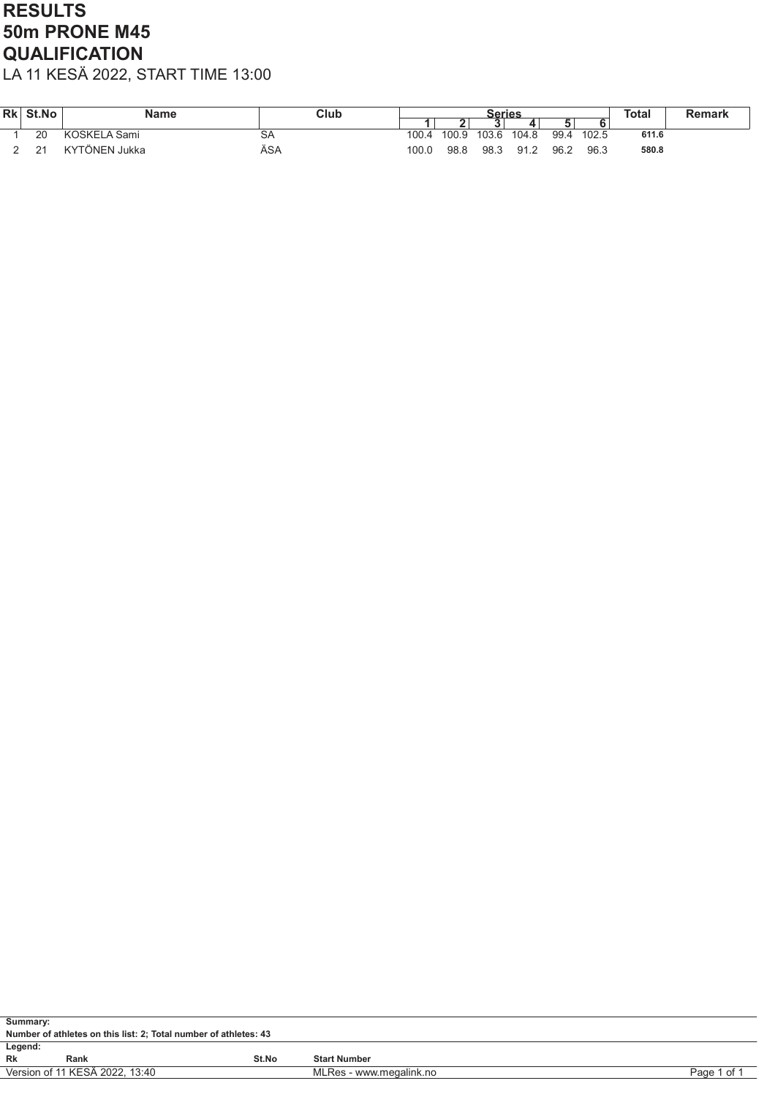## RESULTS 50m PRONE M45 **QUALIFICATION**

| Rk | St.No | <b>Name</b>   | Club      | <b>Series</b> |       | <b>Total</b> | <b>Remark</b> |      |       |       |  |
|----|-------|---------------|-----------|---------------|-------|--------------|---------------|------|-------|-------|--|
|    |       |               |           |               |       |              |               |      |       |       |  |
|    | 20    | KOSKELA Sami  | <b>SA</b> | 100.4         | 100.9 | 103.6        | 104.8         | 99.4 | 102.5 | 611.6 |  |
|    | 21    | KYTÖNEN Jukka | ÄSA       | 100.0         | 98.8  | 98.3         | 91.2          | 96.2 | 96.3  | 580.8 |  |

| Summary: |                                                                          |       |                     |  |  |  |  |  |  |  |
|----------|--------------------------------------------------------------------------|-------|---------------------|--|--|--|--|--|--|--|
|          | Number of athletes on this list: 2; Total number of athletes: 43         |       |                     |  |  |  |  |  |  |  |
| Legend:  |                                                                          |       |                     |  |  |  |  |  |  |  |
| Rk       | Rank                                                                     | St.No | <b>Start Number</b> |  |  |  |  |  |  |  |
|          | Version of 11 KESÄ 2022, 13:40<br>MLRes - www.megalink.no<br>Page 1 of 1 |       |                     |  |  |  |  |  |  |  |
|          |                                                                          |       |                     |  |  |  |  |  |  |  |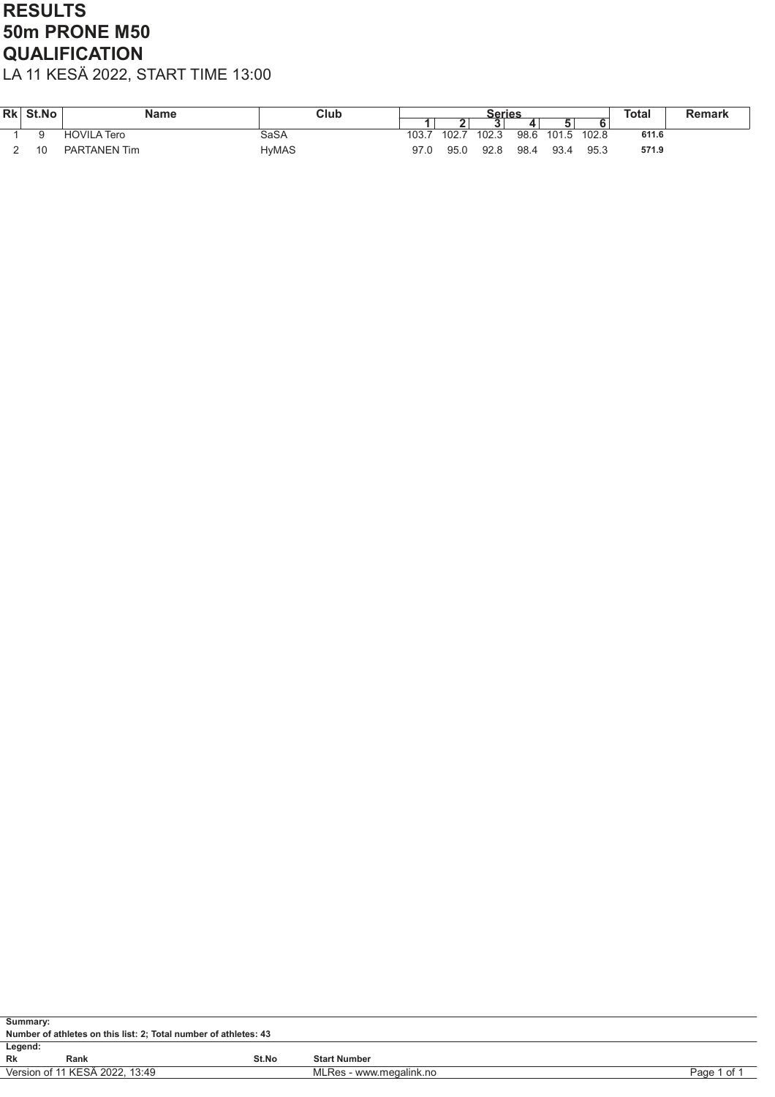## RESULTS 50m PRONE M50 **QUALIFICATION**

| <b>Rk</b> | St.No | <b>Name</b>         | Club  | Series                          |       |       | <b>Total</b> | Remark |       |       |  |
|-----------|-------|---------------------|-------|---------------------------------|-------|-------|--------------|--------|-------|-------|--|
|           |       |                     |       |                                 |       |       |              |        |       |       |  |
|           |       | <b>HOVILA Tero</b>  | SaSA  | $\overline{\phantom{0}}$<br>υυ. | 102.7 | 102.3 | 98.6         | 101.5  | 102.8 | 611.6 |  |
|           | 10    | <b>PARTANEN Tim</b> | HyMAS | 97.U                            | 95.0  | 92.8  | 98.4         | 93.4   | 95.3  | 571.9 |  |

| Summary:                                                                 |                                                                  |       |                     |  |  |  |  |  |  |  |  |
|--------------------------------------------------------------------------|------------------------------------------------------------------|-------|---------------------|--|--|--|--|--|--|--|--|
|                                                                          | Number of athletes on this list: 2; Total number of athletes: 43 |       |                     |  |  |  |  |  |  |  |  |
| Legend:                                                                  |                                                                  |       |                     |  |  |  |  |  |  |  |  |
| Rk                                                                       | Rank                                                             | St.No | <b>Start Number</b> |  |  |  |  |  |  |  |  |
| Version of 11 KESÄ 2022, 13:49<br>MLRes - www.megalink.no<br>Page 1 of 1 |                                                                  |       |                     |  |  |  |  |  |  |  |  |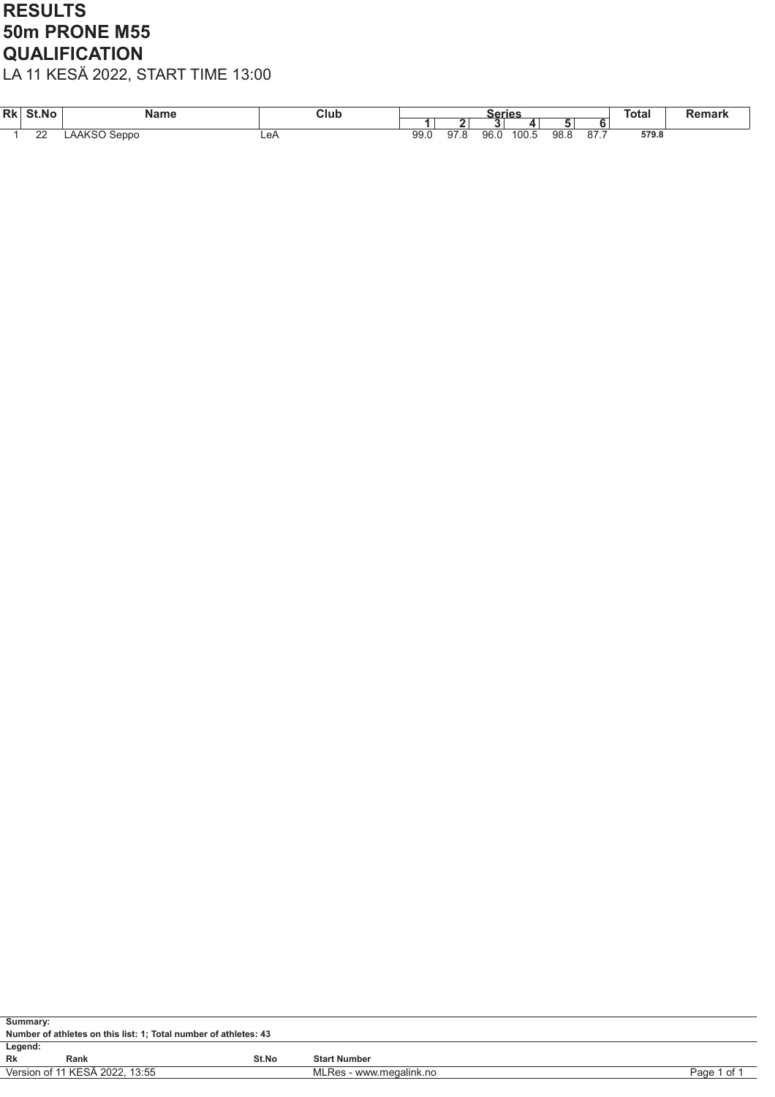### RESULTS 50m PRONE M55 **QUALIFICATION**

| <b>Rk</b> | St.No    | Name                  | Club |      |    | Series |       |      |                        | <b>Total</b> | ,,,,,,, |
|-----------|----------|-----------------------|------|------|----|--------|-------|------|------------------------|--------------|---------|
|           |          |                       |      |      |    |        |       |      |                        |              |         |
|           | nn<br>∠∠ | N<br>Seppo<br>AANSU . | LeA  | 99.0 | 91 | 96.C   | 100.5 | 98.8 | $\sim$ $\sim$<br>$O/I$ | 579.8        |         |

| Summary:                                                                 |                                                                  |       |                     |  |  |  |  |  |  |  |  |
|--------------------------------------------------------------------------|------------------------------------------------------------------|-------|---------------------|--|--|--|--|--|--|--|--|
|                                                                          | Number of athletes on this list: 1; Total number of athletes: 43 |       |                     |  |  |  |  |  |  |  |  |
| Legend:                                                                  |                                                                  |       |                     |  |  |  |  |  |  |  |  |
| Rk<br>Rank                                                               |                                                                  | St.No | <b>Start Number</b> |  |  |  |  |  |  |  |  |
| Version of 11 KESÄ 2022, 13:55<br>MLRes - www.megalink.no<br>Page 1 of 1 |                                                                  |       |                     |  |  |  |  |  |  |  |  |
|                                                                          |                                                                  |       |                     |  |  |  |  |  |  |  |  |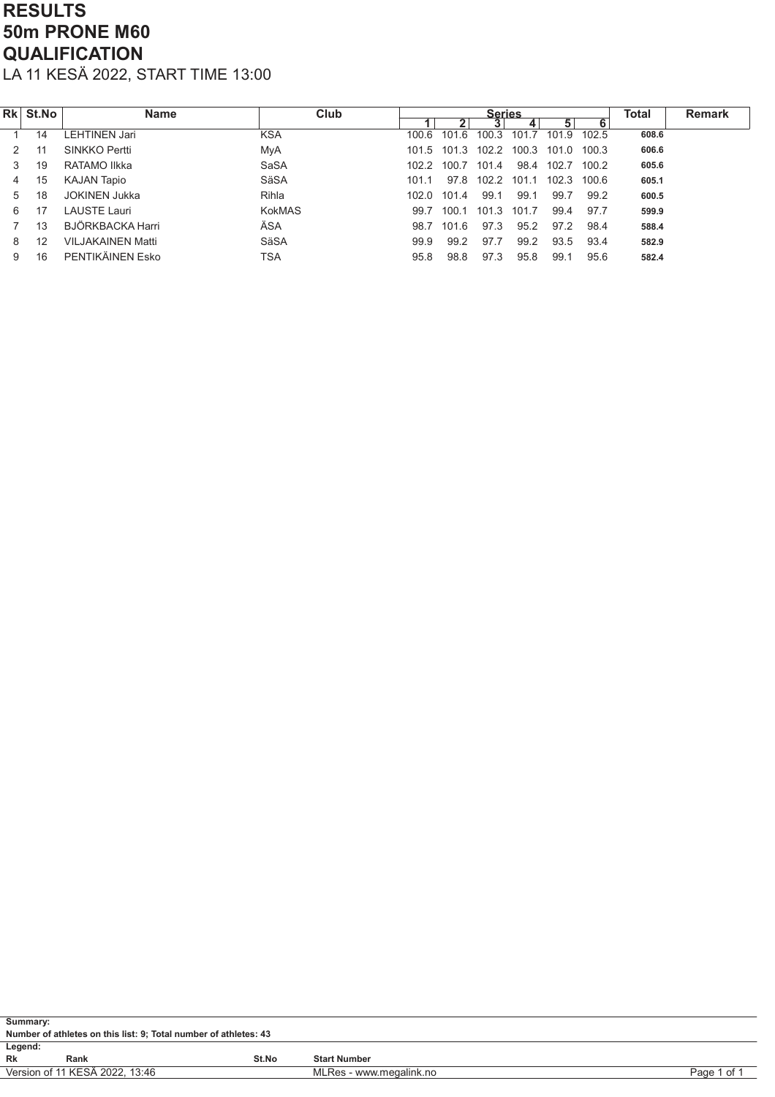#### RESULTS 50m PRONE M60 **QUALIFICATION** LA 11 KESÄ 2022, START TIME 13:00

| Rk l | <b>St.No</b> | Name                     | Club          |       |                | <b>Series</b> |       |       |          | <b>Total</b> | <b>Remark</b> |
|------|--------------|--------------------------|---------------|-------|----------------|---------------|-------|-------|----------|--------------|---------------|
|      |              |                          |               |       | 2 <sub>1</sub> |               |       | 5     | 6        |              |               |
|      | 14           | LEHTINEN Jari            | <b>KSA</b>    | 100.6 | 1016           | 100.3         | 101.7 | 101.9 | 102.5    | 608.6        |               |
|      | 11           | SINKKO Pertti            | MyA           | 101.5 | 101.3          | 102.2         | 100.3 | 101.0 | $-100.3$ | 606.6        |               |
| 3    | 19           | RATAMO Ilkka             | SaSA          |       | 1022 1007      | 101.4         | 98.4  | 102.7 | 100.2    | 605.6        |               |
| 4    | 15           | <b>KAJAN Tapio</b>       | SäSA          | 101.1 | 97.8           | 102.2         | 101.1 | 102.3 | 100 6    | 605.1        |               |
| 5    | 18           | <b>JOKINEN Jukka</b>     | Rihla         | 102.0 | 101.4          | 99.1          | 99.1  | 99.7  | 99.2     | 600.5        |               |
| 6    | 17           | LAUSTE Lauri             | <b>KokMAS</b> | 99.7  | 100.1          | 101.3         | 101.7 | 99.4  | 97.7     | 599.9        |               |
|      | 13           | BJÖRKBACKA Harri         | ÄSA           | 98.7  | 101.6          | 97.3          | 95.2  | 97.2  | 98.4     | 588.4        |               |
| 8    | 12           | <b>VILJAKAINEN Matti</b> | SäSA          | 99.9  | 99.2           | 97.7          | 99.2  | 93.5  | 93.4     | 582.9        |               |
| 9    | 16           | PENTIKÄINEN Esko         | TSA           | 95.8  | 98.8           | 97.3          | 95.8  | 99.1  | 95.6     | 582.4        |               |

| Summary: |                                                                          |       |                     |  |  |  |  |  |  |  |
|----------|--------------------------------------------------------------------------|-------|---------------------|--|--|--|--|--|--|--|
|          | Number of athletes on this list: 9; Total number of athletes: 43         |       |                     |  |  |  |  |  |  |  |
| Legend:  |                                                                          |       |                     |  |  |  |  |  |  |  |
| Rk       | Rank                                                                     | St.No | <b>Start Number</b> |  |  |  |  |  |  |  |
|          | Version of 11 KESÄ 2022, 13:46<br>Page 1 of 1<br>MLRes - www.megalink.no |       |                     |  |  |  |  |  |  |  |
|          |                                                                          |       |                     |  |  |  |  |  |  |  |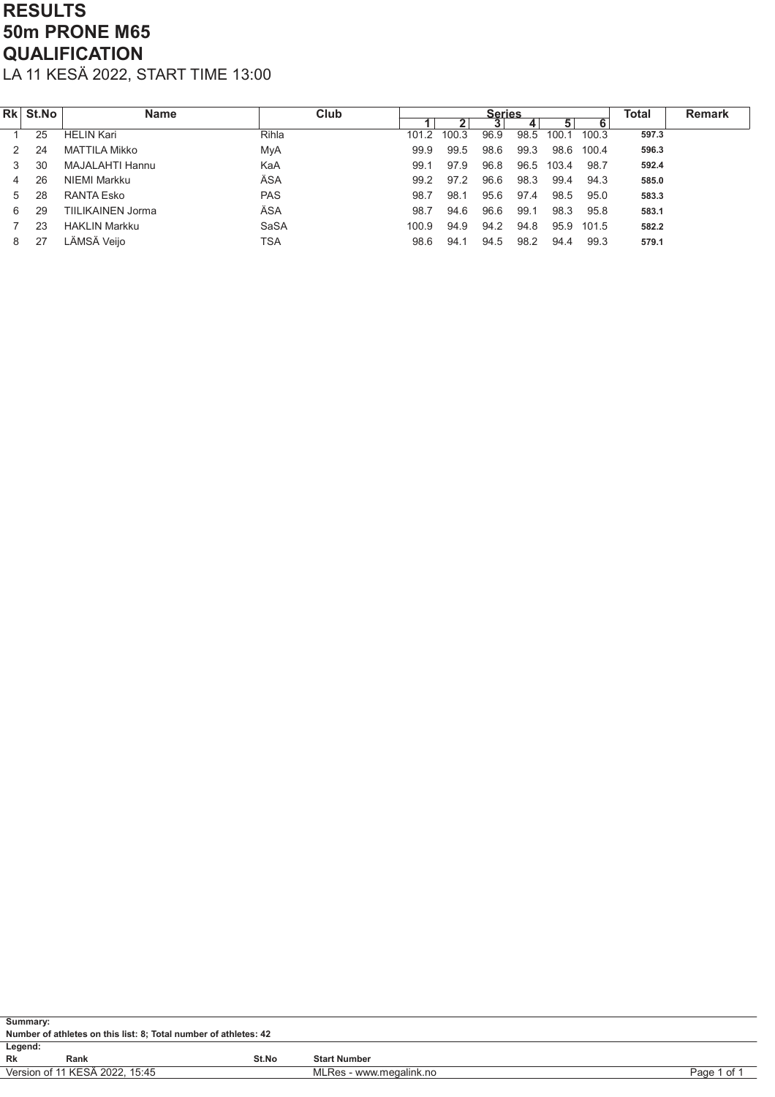# RESULTS 50m PRONE M65 **QUALIFICATION**

|   | Rk St.No | <b>Name</b>          | Club       |       |              | <b>Series</b> |      |       |       | <b>Total</b> | <b>Remark</b> |
|---|----------|----------------------|------------|-------|--------------|---------------|------|-------|-------|--------------|---------------|
|   |          |                      |            |       | $\mathbf{2}$ |               | 4    | 5     | 6     |              |               |
|   | 25       | <b>HELIN Kari</b>    | Rihla      | 101.2 | 100.3        | 96.9          | 98.5 | 100.1 | 100.3 | 597.3        |               |
|   | 24       | <b>MATTILA Mikko</b> | MyA        | 99.9  | 99.5         | 98.6          | 99.3 | 98.6  | 100.4 | 596.3        |               |
|   | 30       | MAJALAHTI Hannu      | KaA        | 99.1  | 97.9         | 96.8          | 96.5 | 103.4 | 98.7  | 592.4        |               |
| 4 | 26       | NIEMI Markku         | ÄSA        | 99.2  | 97.2         | 96.6          | 98.3 | 99.4  | 94.3  | 585.0        |               |
| 5 | 28       | RANTA Esko           | <b>PAS</b> | 98.7  | 98.1         | 95.6          | 97.4 | 98.5  | 95.0  | 583.3        |               |
| 6 | 29       | TIILIKAINEN Jorma    | ÄSA        | 98.7  | 94.6         | 96.6          | 99.1 | 98.3  | 95.8  | 583.1        |               |
|   | 23       | <b>HAKLIN Markku</b> | SaSA       | 100.9 | 94.9         | 94.2          | 94.8 | 95.9  | 101.5 | 582.2        |               |
| 8 | 27       | LÄMSÄ Veijo          | TSA        | 98.6  | 94.1         | 94.5          | 98.2 | 94.4  | 99.3  | 579.1        |               |

| Summary: |                                                                          |       |                     |  |  |  |  |  |  |  |
|----------|--------------------------------------------------------------------------|-------|---------------------|--|--|--|--|--|--|--|
|          | Number of athletes on this list: 8; Total number of athletes: 42         |       |                     |  |  |  |  |  |  |  |
| Legend:  |                                                                          |       |                     |  |  |  |  |  |  |  |
| Rk       | Rank                                                                     | St.No | <b>Start Number</b> |  |  |  |  |  |  |  |
|          | Version of 11 KESÄ 2022, 15:45<br>MLRes - www.megalink.no<br>Page 1 of 1 |       |                     |  |  |  |  |  |  |  |
|          |                                                                          |       |                     |  |  |  |  |  |  |  |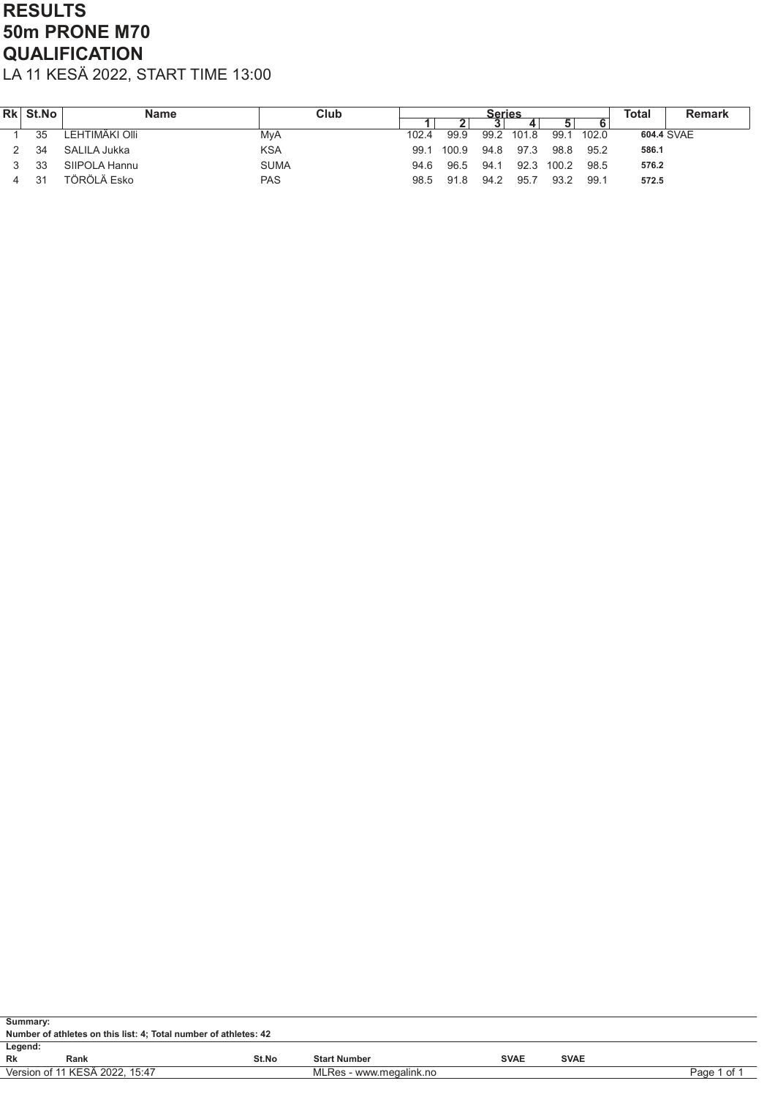## RESULTS 50m PRONE M70 **QUALIFICATION**

| <b>Rk</b> | <b>St.No</b> | <b>Name</b>    | Club        |       |       | <b>Series</b> |       |       |       | Total      | Remark |
|-----------|--------------|----------------|-------------|-------|-------|---------------|-------|-------|-------|------------|--------|
|           |              |                |             |       |       |               |       |       |       |            |        |
|           | 35           | LEHTIMÄKI OIII | MyA         | 102.4 | 99.9  | 99.2          | 101.8 | 99.1  | 102.0 | 604.4 SVAE |        |
|           | 34           | SALILA Jukka   | <b>KSA</b>  | 99.1  | 100.9 | 94.8          | 97.3  | 98.8  | 95.2  | 586.1      |        |
|           | 33           | SIIPOLA Hannu  | <b>SUMA</b> | 94.6  | 96.5  | 94.1          | 92.3  | 100.2 | 98.5  | 576.2      |        |
|           | 31           | TÖRÖLÄ Esko    | <b>PAS</b>  | 98.5  | 91.8  | 94.2          | 95.7  | 93.2  | 99.1  | 572.5      |        |

| Summary:                                                                 |      |       |                     |             |             |  |  |  |  |  |  |
|--------------------------------------------------------------------------|------|-------|---------------------|-------------|-------------|--|--|--|--|--|--|
| Number of athletes on this list: 4; Total number of athletes: 42         |      |       |                     |             |             |  |  |  |  |  |  |
| Legend:                                                                  |      |       |                     |             |             |  |  |  |  |  |  |
| Rk                                                                       | Rank | St.No | <b>Start Number</b> | <b>SVAE</b> | <b>SVAE</b> |  |  |  |  |  |  |
| Version of 11 KESÄ 2022, 15:47<br>MLRes - www.megalink.no<br>Page 1 of 1 |      |       |                     |             |             |  |  |  |  |  |  |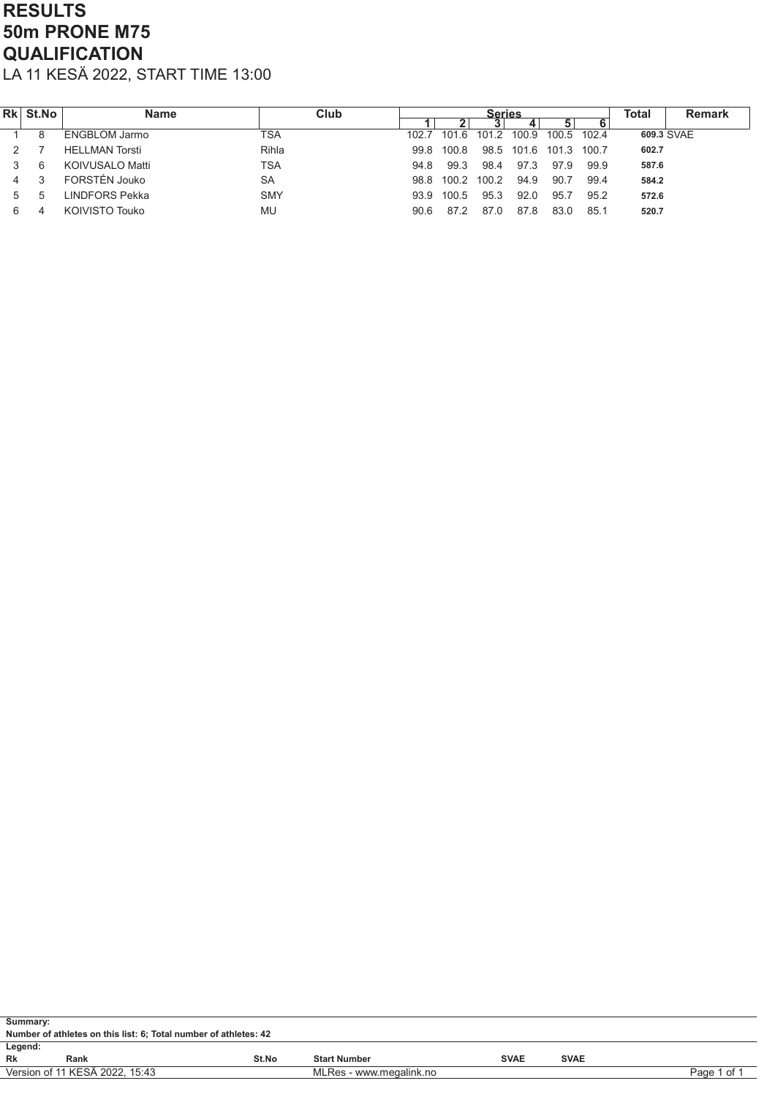# RESULTS 50m PRONE M75 **QUALIFICATION**

| Rk | St.No | <b>Name</b>           | Club       |       |       | <b>Series</b> |                  |             |       | Total      | <b>Remark</b> |
|----|-------|-----------------------|------------|-------|-------|---------------|------------------|-------------|-------|------------|---------------|
|    |       |                       |            |       | 2     |               |                  | 5           |       |            |               |
|    | 8     | <b>ENGBLOM Jarmo</b>  | TSA        | 102.7 | 101.6 | 101.2 100.9   |                  | 100.5 102.4 |       | 609.3 SVAE |               |
|    |       | <b>HELLMAN Torsti</b> | Rihla      | 998   | 100.8 |               | 98.5 101.6 101.3 |             | 100.7 | 602.7      |               |
|    | 6     | KOIVUSALO Matti       | <b>TSA</b> | 948   | 99.3  | 98.4          | 97.3             | 97.9        | 99.9  | 587.6      |               |
| 4  |       | FORSTÉN Jouko         | <b>SA</b>  | 98.8  | 100.2 | 100.2         | 94.9             | 90.7        | 99.4  | 584.2      |               |
|    | b     | LINDFORS Pekka        | <b>SMY</b> | 93.9  | 100.5 | 95.3          | 92.0             | 95.7        | 95.2  | 572.6      |               |
|    |       | KOIVISTO Touko        | MU         | 90.6  | 87.2  |               | 87.8             | 83.0        | 85.1  | 520.7      |               |

| Summary: |                                                                  |       |                         |             |             |             |  |  |  |  |  |  |
|----------|------------------------------------------------------------------|-------|-------------------------|-------------|-------------|-------------|--|--|--|--|--|--|
|          | Number of athletes on this list: 6; Total number of athletes: 42 |       |                         |             |             |             |  |  |  |  |  |  |
| Legend:  |                                                                  |       |                         |             |             |             |  |  |  |  |  |  |
| Rk       | Rank                                                             | St.No | <b>Start Number</b>     | <b>SVAE</b> | <b>SVAE</b> |             |  |  |  |  |  |  |
|          | Version of 11 KESÄ 2022, 15:43                                   |       | MLRes - www.megalink.no |             |             | Page 1 of 1 |  |  |  |  |  |  |
|          |                                                                  |       |                         |             |             |             |  |  |  |  |  |  |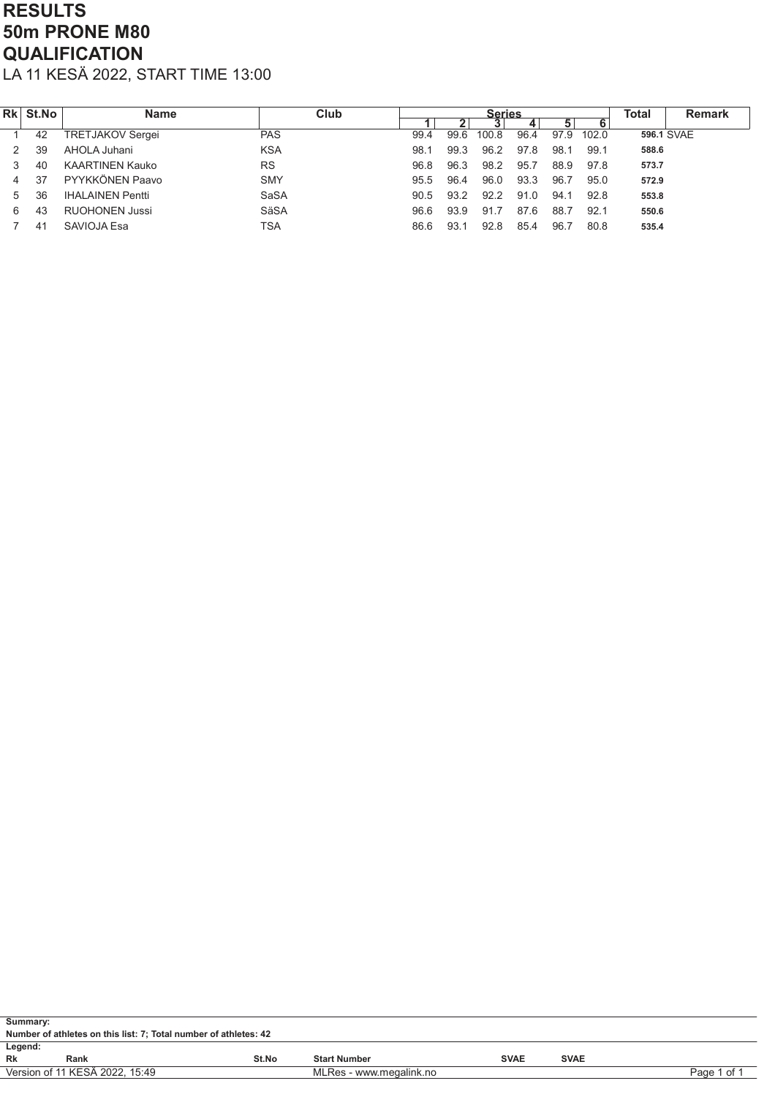# RESULTS 50m PRONE M80 **QUALIFICATION**

| Rk | St.No | <b>Name</b>             | Club        |      |      | <b>Series</b> |      |      |       | Total | <b>Remark</b> |
|----|-------|-------------------------|-------------|------|------|---------------|------|------|-------|-------|---------------|
|    |       |                         |             |      | 21   |               |      | 5    |       |       |               |
|    | 42    | TRETJAKOV Sergei        | <b>PAS</b>  | 99.4 | 99.6 | 100.8         | 96.4 | 97.9 | 102.0 |       | 596.1 SVAE    |
|    | 39    | AHOLA Juhani            | <b>KSA</b>  | 98.1 | 99.3 | 96.2          | 97.8 | 98.1 | 99.1  | 588.6 |               |
|    | 40    | <b>KAARTINEN Kauko</b>  | <b>RS</b>   | 96.8 | 96.3 | 98.2          | 95.7 | 88.9 | 97.8  | 573.7 |               |
| 4  | 37    | PYYKKÖNEN Paavo         | <b>SMY</b>  | 95.5 | 96.4 | 96.0          | 93.3 | 96.7 | 95.0  | 572.9 |               |
| 5  | 36    | <b>IHALAINEN Pentti</b> | <b>SaSA</b> | 90.5 | 93.2 | 92.2          | 91.0 | 94.1 | 92.8  | 553.8 |               |
| 6  | 43    | <b>RUOHONEN Jussi</b>   | SäSA        | 96.6 | 93.9 | 91.7          | 87.6 | 88.7 | 92.1  | 550.6 |               |
|    | 41    | SAVIOJA Esa             | TSA         | 86.6 | 93.1 | 92.8          | 85.4 | 96.7 | 80.8  | 535.4 |               |

| Summary:                                                                 |  |  |  |  |  |  |  |  |  |  |
|--------------------------------------------------------------------------|--|--|--|--|--|--|--|--|--|--|
| Number of athletes on this list: 7; Total number of athletes: 42         |  |  |  |  |  |  |  |  |  |  |
| Legend:                                                                  |  |  |  |  |  |  |  |  |  |  |
| Rk<br><b>SVAE</b><br>St.No<br><b>SVAE</b><br><b>Start Number</b><br>Rank |  |  |  |  |  |  |  |  |  |  |
| Version of 11 KESÄ 2022, 15:49<br>MLRes - www.megalink.no<br>Page 1 of 1 |  |  |  |  |  |  |  |  |  |  |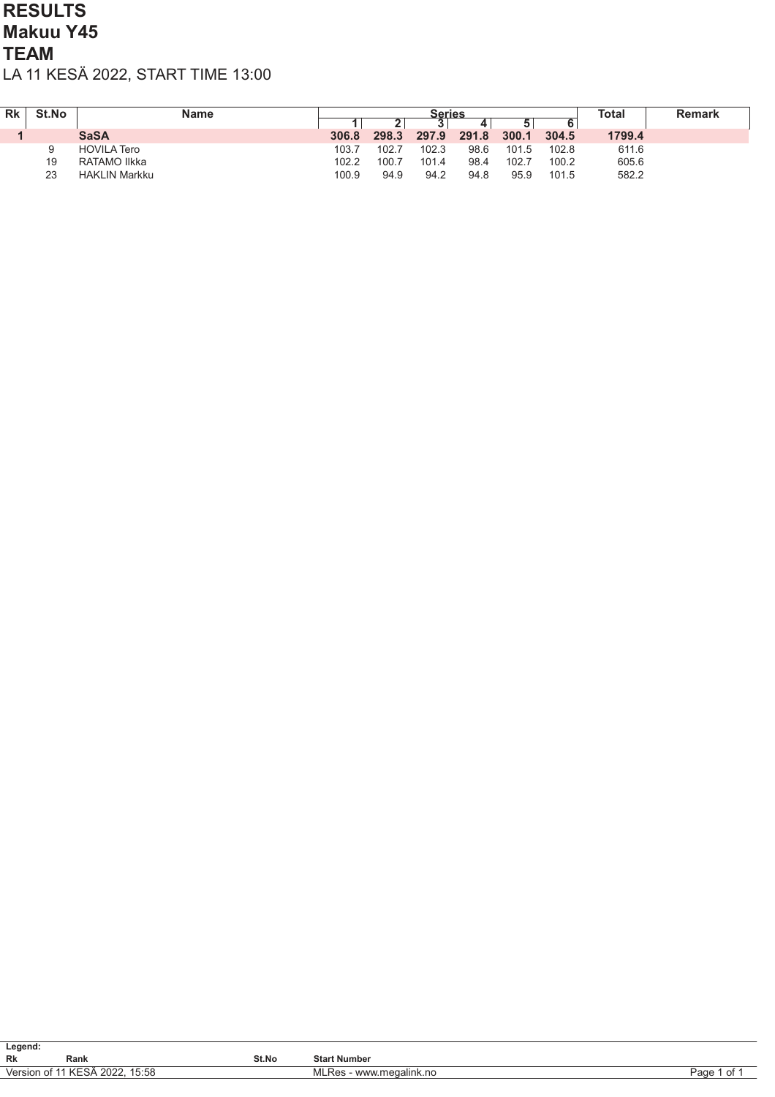#### RESULTS Makuu Y45 **TEAM** LA 11 KESÄ 2022, START TIME 13:00

| <b>Rk</b> | St.No | Name                 |       | <b>Series</b> |       |       |       |       | Total  | <b>Remark</b> |
|-----------|-------|----------------------|-------|---------------|-------|-------|-------|-------|--------|---------------|
|           |       |                      |       |               | u     |       | 5     |       |        |               |
|           |       | <b>SaSA</b>          | 306.8 | 298.3         | 297.9 | 291.8 | 300.1 | 304.5 | 1799.4 |               |
|           |       | <b>HOVILA Tero</b>   | 103.7 | 102.7         | 102.3 | 98.6  | 101.5 | 102.8 | 611.6  |               |
|           | 19    | RATAMO Ilkka         | 102.2 | 100.7         | 101.4 | 98.4  | 102.7 | 100.2 | 605.6  |               |
|           | 23    | <b>HAKLIN Markku</b> | 100.9 | 94.9          | 94.2  | 94.8  | 95.9  | 101.5 | 582.2  |               |

| Legend:   |                                |       |                                 |            |  |  |  |  |  |  |
|-----------|--------------------------------|-------|---------------------------------|------------|--|--|--|--|--|--|
| <b>Rk</b> | Rank                           | St.No | <b>Start Number</b>             |            |  |  |  |  |  |  |
|           | Version of 11 KESÄ 2022, 15:58 |       | www.megalink.no<br>Res<br>.VI∟r | of<br>Page |  |  |  |  |  |  |
|           |                                |       |                                 |            |  |  |  |  |  |  |